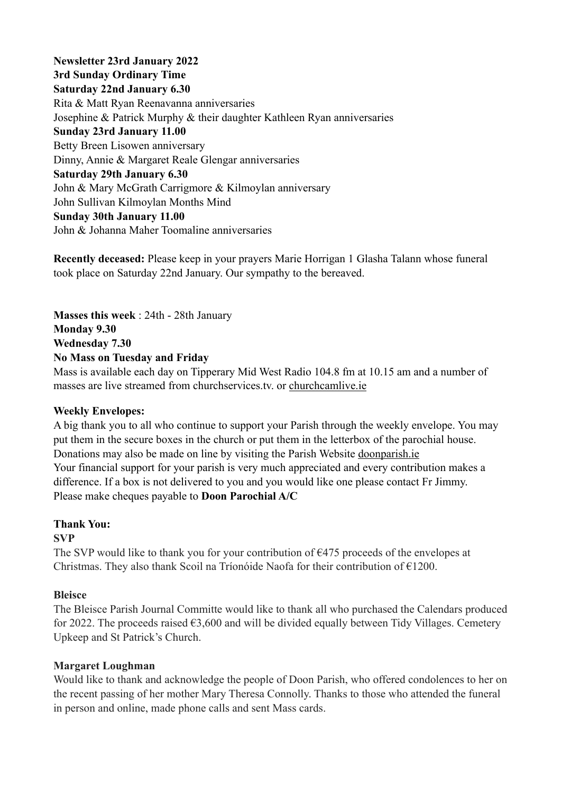**Newsletter 23rd January 2022 3rd Sunday Ordinary Time Saturday 22nd January 6.30**  Rita & Matt Ryan Reenavanna anniversaries Josephine & Patrick Murphy & their daughter Kathleen Ryan anniversaries **Sunday 23rd January 11.00**  Betty Breen Lisowen anniversary Dinny, Annie & Margaret Reale Glengar anniversaries **Saturday 29th January 6.30**  John & Mary McGrath Carrigmore & Kilmoylan anniversary John Sullivan Kilmoylan Months Mind **Sunday 30th January 11.00**  John & Johanna Maher Toomaline anniversaries

masses are live streamed from churchservices.tv. or [churchcamlive.ie](http://churchcamlive.ie)

**Recently deceased:** Please keep in your prayers Marie Horrigan 1 Glasha Talann whose funeral took place on Saturday 22nd January. Our sympathy to the bereaved.

**Masses this week** : 24th - 28th January **Monday 9.30 Wednesday 7.30 No Mass on Tuesday and Friday**  Mass is available each day on Tipperary Mid West Radio 104.8 fm at 10.15 am and a number of

#### **Weekly Envelopes:**

A big thank you to all who continue to support your Parish through the weekly envelope. You may put them in the secure boxes in the church or put them in the letterbox of the parochial house. Donations may also be made on line by visiting the Parish Website [doonparish.ie](http://doonparish.ie) Your financial support for your parish is very much appreciated and every contribution makes a difference. If a box is not delivered to you and you would like one please contact Fr Jimmy. Please make cheques payable to **Doon Parochial A/C**

# **Thank You:**

### **SVP**

The SVP would like to thank you for your contribution of  $\epsilon$ 475 proceeds of the envelopes at Christmas. They also thank Scoil na Tríonóide Naofa for their contribution of €1200.

#### **Bleisce**

The Bleisce Parish Journal Committe would like to thank all who purchased the Calendars produced for 2022. The proceeds raised  $63,600$  and will be divided equally between Tidy Villages. Cemetery Upkeep and St Patrick's Church.

#### **Margaret Loughman**

Would like to thank and acknowledge the people of Doon Parish, who offered condolences to her on the recent passing of her mother Mary Theresa Connolly. Thanks to those who attended the funeral in person and online, made phone calls and sent Mass cards.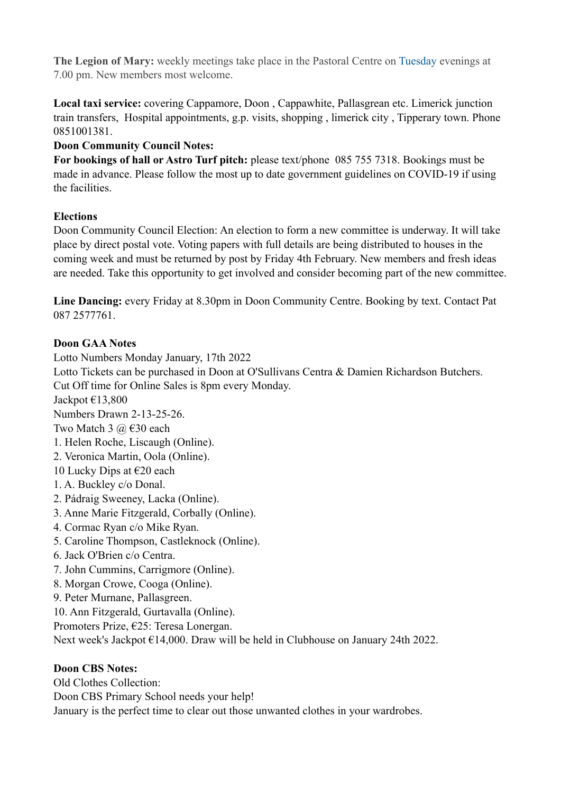**The Legion of Mary:** weekly meetings take place in the Pastoral Centre on Tuesday evenings at 7.00 pm. New members most welcome.

**Local taxi service:** covering Cappamore, Doon , Cappawhite, Pallasgrean etc. Limerick junction train transfers, Hospital appointments, g.p. visits, shopping , limerick city , Tipperary town. Phone 0851001381.

# **Doon Community Council Notes:**

**For bookings of hall or Astro Turf pitch:** please text/phone 085 755 7318. Bookings must be made in advance. Please follow the most up to date government guidelines on COVID-19 if using the facilities.

### **Elections**

Doon Community Council Election: An election to form a new committee is underway. It will take place by direct postal vote. Voting papers with full details are being distributed to houses in the coming week and must be returned by post by Friday 4th February. New members and fresh ideas are needed. Take this opportunity to get involved and consider becoming part of the new committee.

**Line Dancing:** every Friday at 8.30pm in Doon Community Centre. Booking by text. Contact Pat 087 2577761.

### **Doon GAA Notes**

Lotto Numbers Monday January, 17th 2022 Lotto Tickets can be purchased in Doon at O'Sullivans Centra & Damien Richardson Butchers. Cut Off time for Online Sales is 8pm every Monday. Jackpot €13,800 Numbers Drawn 2-13-25-26. Two Match 3  $\omega \in 30$  each 1. Helen Roche, Liscaugh (Online). 2. Veronica Martin, Oola (Online). 10 Lucky Dips at  $\epsilon$ 20 each 1. A. Buckley c/o Donal. 2. Pádraig Sweeney, Lacka (Online). 3. Anne Marie Fitzgerald, Corbally (Online). 4. Cormac Ryan c/o Mike Ryan. 5. Caroline Thompson, Castleknock (Online). 6. Jack O'Brien c/o Centra. 7. John Cummins, Carrigmore (Online). 8. Morgan Crowe, Cooga (Online). 9. Peter Murnane, Pallasgreen. 10. Ann Fitzgerald, Gurtavalla (Online). Promoters Prize, €25: Teresa Lonergan. Next week's Jackpot €14,000. Draw will be held in Clubhouse on January 24th 2022.

# **Doon CBS Notes:**

Old Clothes Collection: Doon CBS Primary School needs your help! January is the perfect time to clear out those unwanted clothes in your wardrobes.